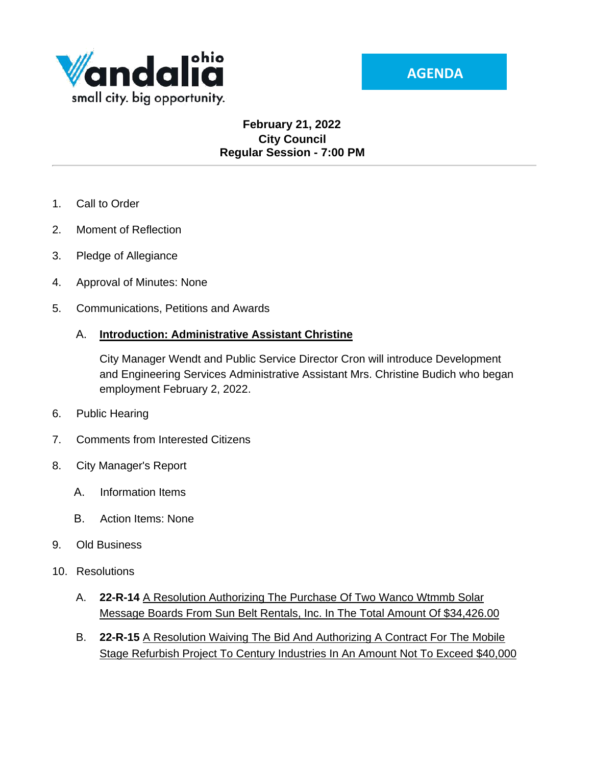

### **February 21, 2022 City Council Regular Session - 7:00 PM**

- 1. Call to Order
- 2. Moment of Reflection
- 3. Pledge of Allegiance
- 4. Approval of Minutes: None
- 5. Communications, Petitions and Awards

#### A. **Introduction: Administrative Assistant Christine**

City Manager Wendt and Public Service Director Cron will introduce Development and Engineering Services Administrative Assistant Mrs. Christine Budich who began employment February 2, 2022.

- 6. Public Hearing
- 7. Comments from Interested Citizens
- 8. City Manager's Report
	- A. Information Items
	- B. Action Items: None
- 9. Old Business
- 10. Resolutions
	- A. **22-R-14** A Resolution Authorizing The Purchase Of Two Wanco Wtmmb Solar Message Boards From Sun Belt Rentals, Inc. In The Total Amount Of \$34,426.00
	- B. **22-R-15** A Resolution Waiving The Bid And Authorizing A Contract For The Mobile Stage Refurbish Project To Century Industries In An Amount Not To Exceed \$40,000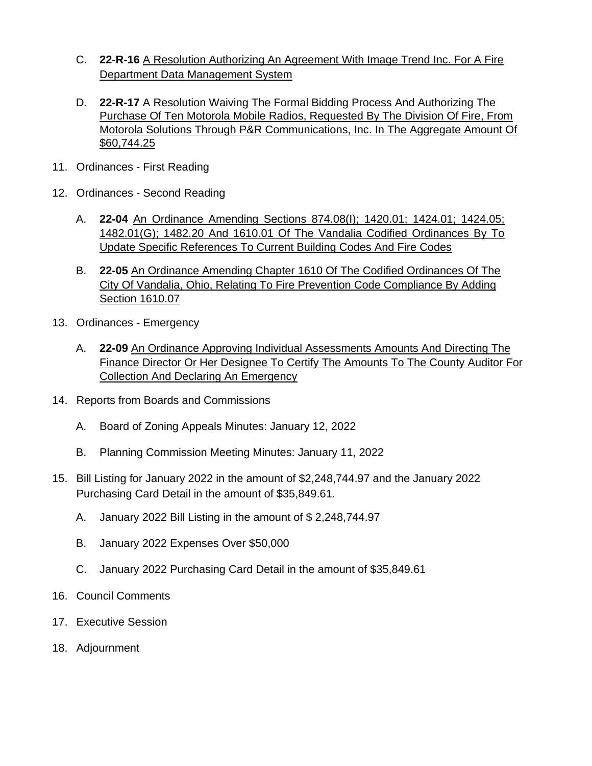- C. **22-R-16** A Resolution Authorizing An Agreement With Image Trend Inc. For A Fire Department Data Management System
- D. **22-R-17** A Resolution Waiving The Formal Bidding Process And Authorizing The Purchase Of Ten Motorola Mobile Radios, Requested By The Division Of Fire, From Motorola Solutions Through P&R Communications, Inc. In The Aggregate Amount Of \$60,744.25
- 11. Ordinances First Reading
- 12. Ordinances Second Reading
	- A. **22-04** An Ordinance Amending Sections 874.08(I); 1420.01; 1424.01; 1424.05; 1482.01(G); 1482.20 And 1610.01 Of The Vandalia Codified Ordinances By To Update Specific References To Current Building Codes And Fire Codes
	- B. **22-05** An Ordinance Amending Chapter 1610 Of The Codified Ordinances Of The City Of Vandalia, Ohio, Relating To Fire Prevention Code Compliance By Adding Section 1610.07
- 13. Ordinances Emergency
	- A. **22-09** An Ordinance Approving Individual Assessments Amounts And Directing The Finance Director Or Her Designee To Certify The Amounts To The County Auditor For Collection And Declaring An Emergency
- 14. Reports from Boards and Commissions
	- A. Board of Zoning Appeals Minutes: January 12, 2022
	- B. Planning Commission Meeting Minutes: January 11, 2022
- 15. Bill Listing for January 2022 in the amount of \$2,248,744.97 and the January 2022 Purchasing Card Detail in the amount of \$35,849.61.
	- A. January 2022 Bill Listing in the amount of \$ 2,248,744.97
	- B. January 2022 Expenses Over \$50,000
	- C. January 2022 Purchasing Card Detail in the amount of \$35,849.61
- 16. Council Comments
- 17. Executive Session
- 18. Adjournment